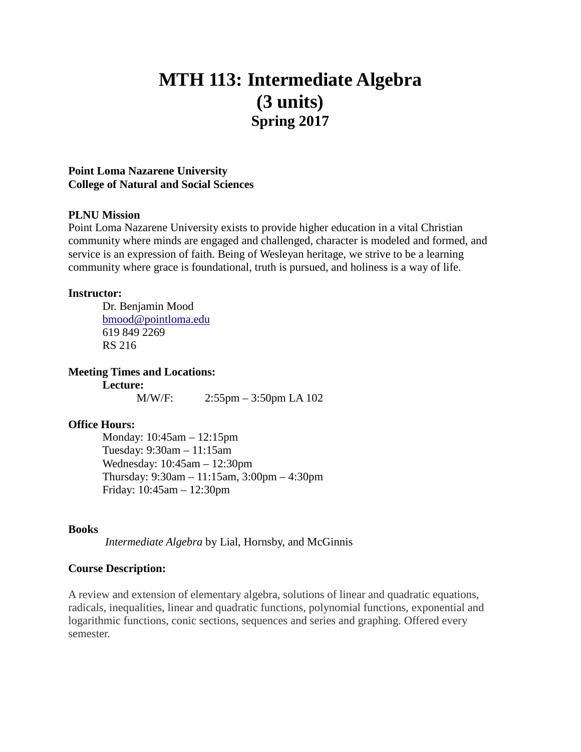# **MTH 113: Intermediate Algebra (3 units) Spring 2017**

#### **Point Loma Nazarene University College of Natural and Social Sciences**

#### **PLNU Mission**

Point Loma Nazarene University exists to provide higher education in a vital Christian community where minds are engaged and challenged, character is modeled and formed, and service is an expression of faith. Being of Wesleyan heritage, we strive to be a learning community where grace is foundational, truth is pursued, and holiness is a way of life.

#### **Instructor:**

Dr. Benjamin Mood [bmood@pointloma.edu](mailto:bmood@pointloma.edu) 619 849 2269 RS 216

**Meeting Times and Locations:**

**Lecture:** M/W/F: 2:55pm – 3:50pm LA 102

# **Office Hours:**

Monday: 10:45am – 12:15pm Tuesday: 9:30am – 11:15am Wednesday: 10:45am – 12:30pm Thursday: 9:30am – 11:15am, 3:00pm – 4:30pm Friday: 10:45am – 12:30pm

#### **Books**

*Intermediate Algebra* by Lial, Hornsby, and McGinnis

#### **Course Description:**

A review and extension of elementary algebra, solutions of linear and quadratic equations, radicals, inequalities, linear and quadratic functions, polynomial functions, exponential and logarithmic functions, conic sections, sequences and series and graphing. Offered every semester.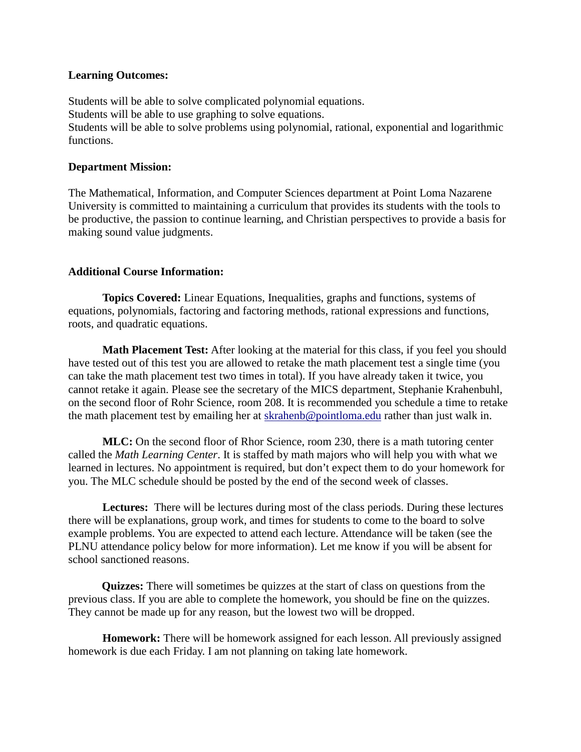#### **Learning Outcomes:**

Students will be able to solve complicated polynomial equations. Students will be able to use graphing to solve equations. Students will be able to solve problems using polynomial, rational, exponential and logarithmic functions.

# **Department Mission:**

The Mathematical, Information, and Computer Sciences department at Point Loma Nazarene University is committed to maintaining a curriculum that provides its students with the tools to be productive, the passion to continue learning, and Christian perspectives to provide a basis for making sound value judgments.

# **Additional Course Information:**

**Topics Covered:** Linear Equations, Inequalities, graphs and functions, systems of equations, polynomials, factoring and factoring methods, rational expressions and functions, roots, and quadratic equations.

**Math Placement Test:** After looking at the material for this class, if you feel you should have tested out of this test you are allowed to retake the math placement test a single time (you can take the math placement test two times in total). If you have already taken it twice, you cannot retake it again. Please see the secretary of the MICS department*,* Stephanie Krahenbuhl*,* on the second floor of Rohr Science, room 208. It is recommended you schedule a time to retake the math placement test by emailing her at [skrahenb@pointloma.edu](mailto:stephaniekrahenbuhl@pointloma.edu) rather than just walk in.

**MLC:** On the second floor of Rhor Science, room 230, there is a math tutoring center called the *Math Learning Center*. It is staffed by math majors who will help you with what we learned in lectures. No appointment is required, but don't expect them to do your homework for you. The MLC schedule should be posted by the end of the second week of classes.

**Lectures:** There will be lectures during most of the class periods. During these lectures there will be explanations, group work, and times for students to come to the board to solve example problems. You are expected to attend each lecture. Attendance will be taken (see the PLNU attendance policy below for more information). Let me know if you will be absent for school sanctioned reasons.

**Quizzes:** There will sometimes be quizzes at the start of class on questions from the previous class. If you are able to complete the homework, you should be fine on the quizzes. They cannot be made up for any reason, but the lowest two will be dropped.

**Homework:** There will be homework assigned for each lesson. All previously assigned homework is due each Friday. I am not planning on taking late homework.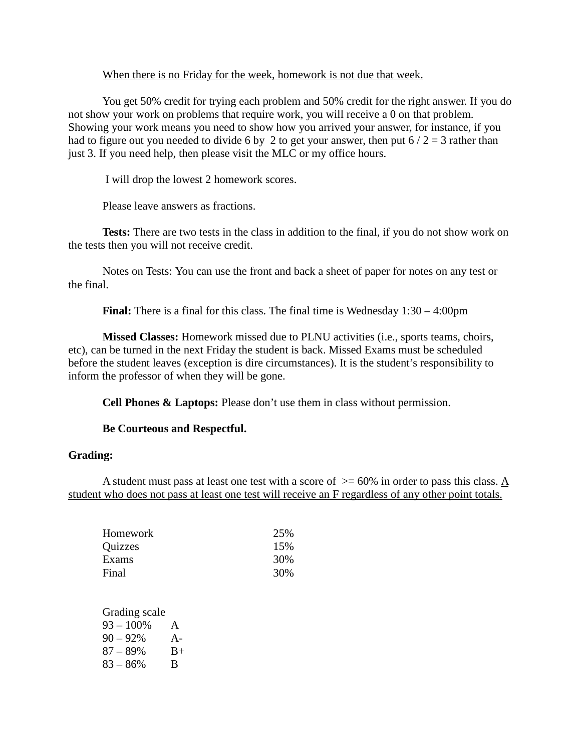#### When there is no Friday for the week, homework is not due that week.

You get 50% credit for trying each problem and 50% credit for the right answer. If you do not show your work on problems that require work, you will receive a 0 on that problem. Showing your work means you need to show how you arrived your answer, for instance, if you had to figure out you needed to divide 6 by 2 to get your answer, then put  $6/2 = 3$  rather than just 3. If you need help, then please visit the MLC or my office hours.

I will drop the lowest 2 homework scores.

Please leave answers as fractions.

**Tests:** There are two tests in the class in addition to the final, if you do not show work on the tests then you will not receive credit.

Notes on Tests: You can use the front and back a sheet of paper for notes on any test or the final.

**Final:** There is a final for this class. The final time is Wednesday  $1:30 - 4:00 \text{pm}$ 

**Missed Classes:** Homework missed due to PLNU activities (i.e., sports teams, choirs, etc), can be turned in the next Friday the student is back. Missed Exams must be scheduled before the student leaves (exception is dire circumstances). It is the student's responsibility to inform the professor of when they will be gone.

**Cell Phones & Laptops:** Please don't use them in class without permission.

# **Be Courteous and Respectful.**

# **Grading:**

A student must pass at least one test with a score of  $\geq$  = 60% in order to pass this class. A student who does not pass at least one test will receive an F regardless of any other point totals.

| 25% |
|-----|
| 15% |
| 30% |
| 30% |
|     |

Grading scale  $93 - 100\%$  A 90 – 92% A- $87 - 89\%$  B+  $83 - 86\%$  B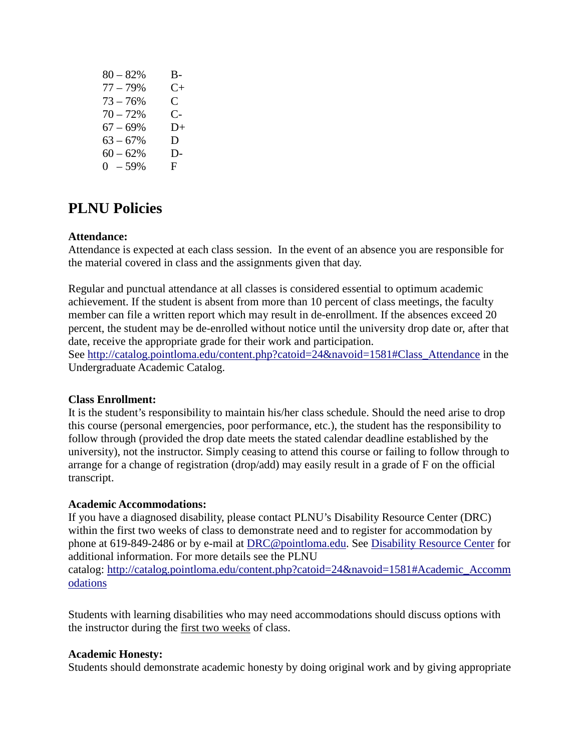| $80 - 82%$ | B- |
|------------|----|
| $77 - 79%$ | C+ |
| $73 - 76%$ | C. |
| $70 - 72%$ | C- |
| $67 - 69%$ | D+ |
| $63 - 67%$ | D  |
| $60 - 62%$ | D- |
| $0 - 59%$  | F. |
|            |    |

# **PLNU Policies**

# **Attendance:**

Attendance is expected at each class session. In the event of an absence you are responsible for the material covered in class and the assignments given that day.

Regular and punctual attendance at all classes is considered essential to optimum academic achievement. If the student is absent from more than 10 percent of class meetings, the faculty member can file a written report which may result in de-enrollment. If the absences exceed 20 percent, the student may be de-enrolled without notice until the university drop date or, after that date, receive the appropriate grade for their work and participation.

See [http://catalog.pointloma.edu/content.php?catoid=24&navoid=1581#Class\\_Attendance](http://catalog.pointloma.edu/content.php?catoid=24&navoid=1581#Class_Attendance) in the Undergraduate Academic Catalog.

# **Class Enrollment:**

It is the student's responsibility to maintain his/her class schedule. Should the need arise to drop this course (personal emergencies, poor performance, etc.), the student has the responsibility to follow through (provided the drop date meets the stated calendar deadline established by the university), not the instructor. Simply ceasing to attend this course or failing to follow through to arrange for a change of registration (drop/add) may easily result in a grade of F on the official transcript.

#### **Academic Accommodations:**

If you have a diagnosed disability, please contact PLNU's Disability Resource Center (DRC) within the first two weeks of class to demonstrate need and to register for accommodation by phone at 619-849-2486 or by e-mail at [DRC@pointloma.edu.](mailto:DRC@pointloma.edu) See [Disability Resource Center](http://www.pointloma.edu/experience/offices/administrative-offices/academic-advising-office/disability-resource-center) for additional information. For more details see the PLNU catalog: [http://catalog.pointloma.edu/content.php?catoid=24&navoid=1581#Academic\\_Accomm](http://catalog.pointloma.edu/content.php?catoid=24&navoid=1581#Academic_Accommodations) [odations](http://catalog.pointloma.edu/content.php?catoid=24&navoid=1581#Academic_Accommodations) 

Students with learning disabilities who may need accommodations should discuss options with the instructor during the first two weeks of class.

#### **Academic Honesty:**

Students should demonstrate academic honesty by doing original work and by giving appropriate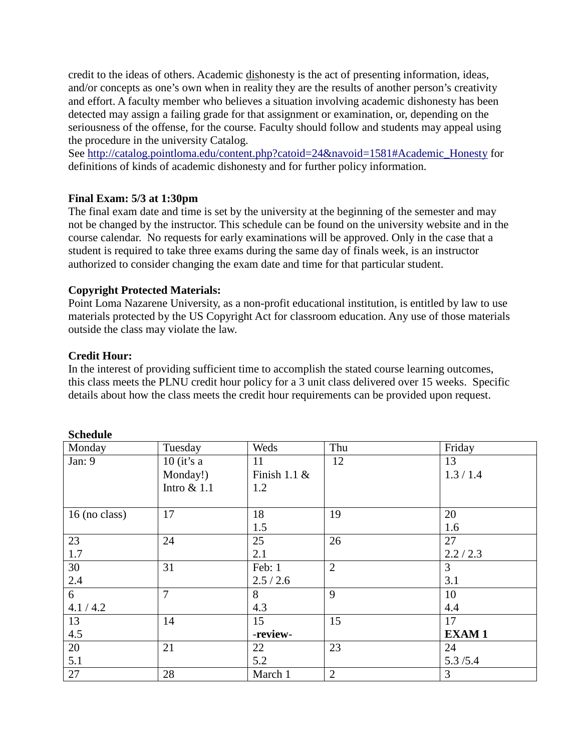credit to the ideas of others. Academic dishonesty is the act of presenting information, ideas, and/or concepts as one's own when in reality they are the results of another person's creativity and effort. A faculty member who believes a situation involving academic dishonesty has been detected may assign a failing grade for that assignment or examination, or, depending on the seriousness of the offense, for the course. Faculty should follow and students may appeal using the procedure in the university Catalog.

See [http://catalog.pointloma.edu/content.php?catoid=24&navoid=1581#Academic\\_Honesty](http://catalog.pointloma.edu/content.php?catoid=24&navoid=1581#Academic_Honesty) for definitions of kinds of academic dishonesty and for further policy information.

# **Final Exam: 5/3 at 1:30pm**

The final exam date and time is set by the university at the beginning of the semester and may not be changed by the instructor. This schedule can be found on the university website and in the course calendar. No requests for early examinations will be approved. Only in the case that a student is required to take three exams during the same day of finals week, is an instructor authorized to consider changing the exam date and time for that particular student.

# **Copyright Protected Materials:**

Point Loma Nazarene University, as a non-profit educational institution, is entitled by law to use materials protected by the US Copyright Act for classroom education. Any use of those materials outside the class may violate the law.

# **Credit Hour:**

In the interest of providing sufficient time to accomplish the stated course learning outcomes, this class meets the PLNU credit hour policy for a 3 unit class delivered over 15 weeks. Specific details about how the class meets the credit hour requirements can be provided upon request.

| Monday        | Tuesday        | Weds            | Thu            | Friday       |
|---------------|----------------|-----------------|----------------|--------------|
| Jan: 9        | $10$ (it's a   | 11              | 12             | 13           |
|               | Monday!)       | Finish 1.1 $\&$ |                | 1.3 / 1.4    |
|               | Intro $& 1.1$  | 1.2             |                |              |
|               |                |                 |                |              |
| 16 (no class) | 17             | 18              | 19             | 20           |
|               |                | 1.5             |                | 1.6          |
| 23            | 24             | 25              | 26             | 27           |
| 1.7           |                | 2.1             |                | 2.2 / 2.3    |
| 30            | 31             | Feb: 1          | $\overline{2}$ | 3            |
| 2.4           |                | 2.5 / 2.6       |                | 3.1          |
| 6             | $\overline{7}$ | 8               | 9              | 10           |
| 4.1 / 4.2     |                | 4.3             |                | 4.4          |
| 13            | 14             | 15              | 15             | 17           |
| 4.5           |                | -review-        |                | <b>EXAM1</b> |
| 20            | 21             | 22              | 23             | 24           |
| 5.1           |                | 5.2             |                | 5.3/5.4      |
| 27            | 28             | March 1         | $\overline{2}$ | 3            |

#### **Schedule**